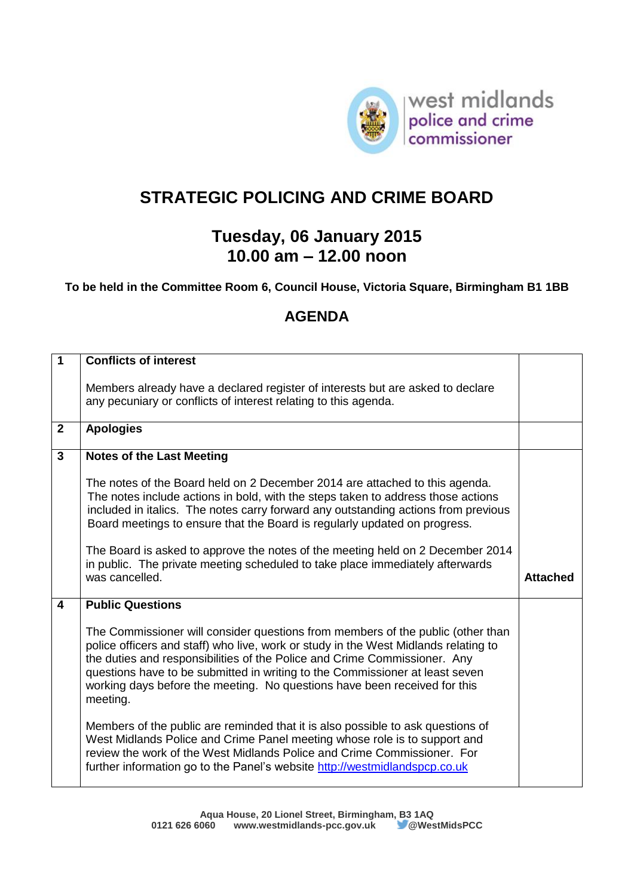

## **STRATEGIC POLICING AND CRIME BOARD**

## **Tuesday, 06 January 2015 10.00 am – 12.00 noon**

**To be held in the Committee Room 6, Council House, Victoria Square, Birmingham B1 1BB**

## **AGENDA**

| $\mathbf 1$             | <b>Conflicts of interest</b>                                                                                                                                                                                                                                                                                                                                                                                                                                                                                            |                 |
|-------------------------|-------------------------------------------------------------------------------------------------------------------------------------------------------------------------------------------------------------------------------------------------------------------------------------------------------------------------------------------------------------------------------------------------------------------------------------------------------------------------------------------------------------------------|-----------------|
|                         | Members already have a declared register of interests but are asked to declare<br>any pecuniary or conflicts of interest relating to this agenda.                                                                                                                                                                                                                                                                                                                                                                       |                 |
| $\overline{2}$          | <b>Apologies</b>                                                                                                                                                                                                                                                                                                                                                                                                                                                                                                        |                 |
| $\mathbf{3}$            | <b>Notes of the Last Meeting</b>                                                                                                                                                                                                                                                                                                                                                                                                                                                                                        |                 |
|                         | The notes of the Board held on 2 December 2014 are attached to this agenda.<br>The notes include actions in bold, with the steps taken to address those actions<br>included in italics. The notes carry forward any outstanding actions from previous<br>Board meetings to ensure that the Board is regularly updated on progress.<br>The Board is asked to approve the notes of the meeting held on 2 December 2014<br>in public. The private meeting scheduled to take place immediately afterwards<br>was cancelled. | <b>Attached</b> |
| $\overline{\mathbf{4}}$ | <b>Public Questions</b>                                                                                                                                                                                                                                                                                                                                                                                                                                                                                                 |                 |
|                         | The Commissioner will consider questions from members of the public (other than<br>police officers and staff) who live, work or study in the West Midlands relating to<br>the duties and responsibilities of the Police and Crime Commissioner. Any<br>questions have to be submitted in writing to the Commissioner at least seven<br>working days before the meeting. No questions have been received for this<br>meeting.                                                                                            |                 |
|                         | Members of the public are reminded that it is also possible to ask questions of<br>West Midlands Police and Crime Panel meeting whose role is to support and<br>review the work of the West Midlands Police and Crime Commissioner. For<br>further information go to the Panel's website http://westmidlandspcp.co.uk                                                                                                                                                                                                   |                 |